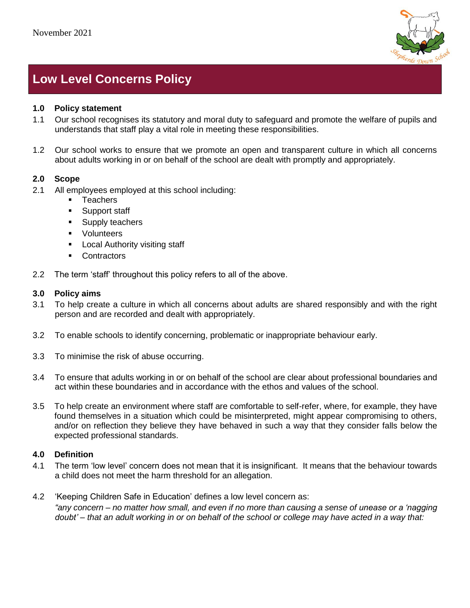

# **Low Level Concerns Policy**

## **1.0 Policy statement**

- 1.1 Our school recognises its statutory and moral duty to safeguard and promote the welfare of pupils and understands that staff play a vital role in meeting these responsibilities.
- 1.2 Our school works to ensure that we promote an open and transparent culture in which all concerns about adults working in or on behalf of the school are dealt with promptly and appropriately.

#### **2.0 Scope**

- 2.1 All employees employed at this school including:
	- Teachers
	- Support staff
	- Supply teachers
	- Volunteers
	- Local Authority visiting staff
	- Contractors
- 2.2 The term 'staff' throughout this policy refers to all of the above.

#### **3.0 Policy aims**

- 3.1 To help create a culture in which all concerns about adults are shared responsibly and with the right person and are recorded and dealt with appropriately.
- 3.2 To enable schools to identify concerning, problematic or inappropriate behaviour early.
- 3.3 To minimise the risk of abuse occurring.
- 3.4 To ensure that adults working in or on behalf of the school are clear about professional boundaries and act within these boundaries and in accordance with the ethos and values of the school.
- 3.5 To help create an environment where staff are comfortable to self-refer, where, for example, they have found themselves in a situation which could be misinterpreted, might appear compromising to others, and/or on reflection they believe they have behaved in such a way that they consider falls below the expected professional standards.

## **4.0 Definition**

- 4.1 The term 'low level' concern does not mean that it is insignificant. It means that the behaviour towards a child does not meet the harm threshold for an allegation.
- 4.2 'Keeping Children Safe in Education' defines a low level concern as: *"any concern – no matter how small, and even if no more than causing a sense of unease or a 'nagging doubt' – that an adult working in or on behalf of the school or college may have acted in a way that:*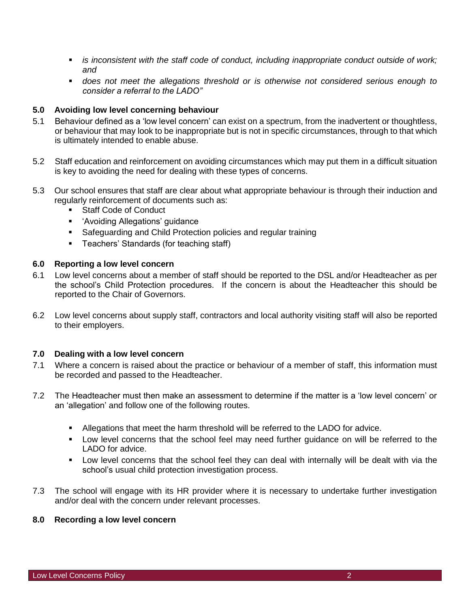- *is inconsistent with the staff code of conduct, including inappropriate conduct outside of work; and*
- *does not meet the allegations threshold or is otherwise not considered serious enough to consider a referral to the LADO"*

## **5.0 Avoiding low level concerning behaviour**

- 5.1 Behaviour defined as a 'low level concern' can exist on a spectrum, from the inadvertent or thoughtless, or behaviour that may look to be inappropriate but is not in specific circumstances, through to that which is ultimately intended to enable abuse.
- 5.2 Staff education and reinforcement on avoiding circumstances which may put them in a difficult situation is key to avoiding the need for dealing with these types of concerns.
- 5.3 Our school ensures that staff are clear about what appropriate behaviour is through their induction and regularly reinforcement of documents such as:
	- Staff Code of Conduct
	- 'Avoiding Allegations' guidance
	- Safeguarding and Child Protection policies and regular training
	- **EXEC** Teachers' Standards (for teaching staff)

## **6.0 Reporting a low level concern**

- 6.1 Low level concerns about a member of staff should be reported to the DSL and/or Headteacher as per the school's Child Protection procedures. If the concern is about the Headteacher this should be reported to the Chair of Governors.
- 6.2 Low level concerns about supply staff, contractors and local authority visiting staff will also be reported to their employers.

## **7.0 Dealing with a low level concern**

- 7.1 Where a concern is raised about the practice or behaviour of a member of staff, this information must be recorded and passed to the Headteacher.
- 7.2 The Headteacher must then make an assessment to determine if the matter is a 'low level concern' or an 'allegation' and follow one of the following routes.
	- Allegations that meet the harm threshold will be referred to the LADO for advice.
	- Low level concerns that the school feel may need further guidance on will be referred to the LADO for advice.
	- **•** Low level concerns that the school feel they can deal with internally will be dealt with via the school's usual child protection investigation process.
- 7.3 The school will engage with its HR provider where it is necessary to undertake further investigation and/or deal with the concern under relevant processes.

## **8.0 Recording a low level concern**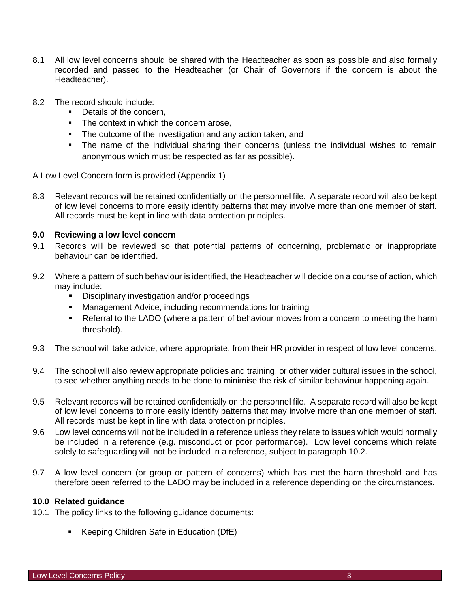- 8.1 All low level concerns should be shared with the Headteacher as soon as possible and also formally recorded and passed to the Headteacher (or Chair of Governors if the concern is about the Headteacher).
- 8.2 The record should include:
	- Details of the concern,
	- The context in which the concern arose,
	- The outcome of the investigation and any action taken, and
	- **•** The name of the individual sharing their concerns (unless the individual wishes to remain anonymous which must be respected as far as possible).

A Low Level Concern form is provided (Appendix 1)

8.3 Relevant records will be retained confidentially on the personnel file. A separate record will also be kept of low level concerns to more easily identify patterns that may involve more than one member of staff. All records must be kept in line with data protection principles.

#### **9.0 Reviewing a low level concern**

- 9.1 Records will be reviewed so that potential patterns of concerning, problematic or inappropriate behaviour can be identified.
- 9.2 Where a pattern of such behaviour is identified, the Headteacher will decide on a course of action, which may include:
	- Disciplinary investigation and/or proceedings
	- Management Advice, including recommendations for training
	- **Referral to the LADO (where a pattern of behaviour moves from a concern to meeting the harm** threshold).
- 9.3 The school will take advice, where appropriate, from their HR provider in respect of low level concerns.
- 9.4 The school will also review appropriate policies and training, or other wider cultural issues in the school, to see whether anything needs to be done to minimise the risk of similar behaviour happening again.
- 9.5 Relevant records will be retained confidentially on the personnel file. A separate record will also be kept of low level concerns to more easily identify patterns that may involve more than one member of staff. All records must be kept in line with data protection principles.
- 9.6 Low level concerns will not be included in a reference unless they relate to issues which would normally be included in a reference (e.g. misconduct or poor performance). Low level concerns which relate solely to safeguarding will not be included in a reference, subject to paragraph 10.2.
- 9.7 A low level concern (or group or pattern of concerns) which has met the harm threshold and has therefore been referred to the LADO may be included in a reference depending on the circumstances.

#### **10.0 Related guidance**

- 10.1 The policy links to the following guidance documents:
	- Keeping Children Safe in Education (DfE)